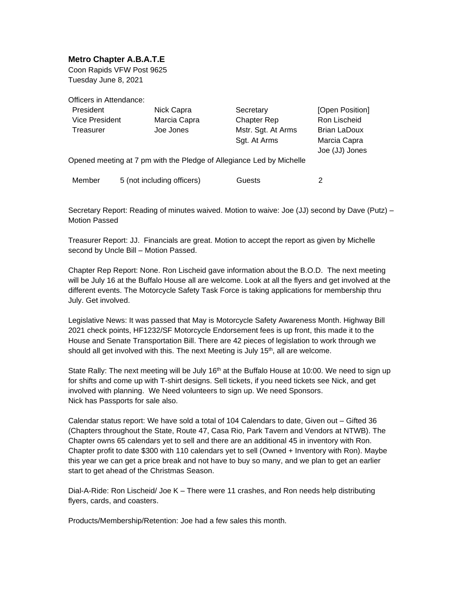## **Metro Chapter A.B.A.T.E**

Coon Rapids VFW Post 9625 Tuesday June 8, 2021

Officers in Attendance:

| President                                                            | Nick Capra                 | Secretary          | [Open Position]     |
|----------------------------------------------------------------------|----------------------------|--------------------|---------------------|
| <b>Vice President</b>                                                | Marcia Capra               | <b>Chapter Rep</b> | Ron Lischeid        |
| Treasurer                                                            | Joe Jones                  | Mstr. Sgt. At Arms | <b>Brian LaDoux</b> |
|                                                                      |                            | Sgt. At Arms       | Marcia Capra        |
|                                                                      |                            |                    | Joe (JJ) Jones      |
| Opened meeting at 7 pm with the Pledge of Allegiance Led by Michelle |                            |                    |                     |
| Member                                                               | 5 (not including officers) | Guests             | 2                   |

Secretary Report: Reading of minutes waived. Motion to waive: Joe (JJ) second by Dave (Putz) – Motion Passed

Treasurer Report: JJ. Financials are great. Motion to accept the report as given by Michelle second by Uncle Bill – Motion Passed.

Chapter Rep Report: None. Ron Lischeid gave information about the B.O.D. The next meeting will be July 16 at the Buffalo House all are welcome. Look at all the flyers and get involved at the different events. The Motorcycle Safety Task Force is taking applications for membership thru July. Get involved.

Legislative News: It was passed that May is Motorcycle Safety Awareness Month. Highway Bill 2021 check points, HF1232/SF Motorcycle Endorsement fees is up front, this made it to the House and Senate Transportation Bill. There are 42 pieces of legislation to work through we should all get involved with this. The next Meeting is July  $15<sup>th</sup>$ , all are welcome.

State Rally: The next meeting will be July  $16<sup>th</sup>$  at the Buffalo House at 10:00. We need to sign up for shifts and come up with T-shirt designs. Sell tickets, if you need tickets see Nick, and get involved with planning. We Need volunteers to sign up. We need Sponsors. Nick has Passports for sale also.

Calendar status report: We have sold a total of 104 Calendars to date, Given out – Gifted 36 (Chapters throughout the State, Route 47, Casa Rio, Park Tavern and Vendors at NTWB). The Chapter owns 65 calendars yet to sell and there are an additional 45 in inventory with Ron. Chapter profit to date \$300 with 110 calendars yet to sell (Owned + Inventory with Ron). Maybe this year we can get a price break and not have to buy so many, and we plan to get an earlier start to get ahead of the Christmas Season.

Dial-A-Ride: Ron Lischeid/ Joe K – There were 11 crashes, and Ron needs help distributing flyers, cards, and coasters.

Products/Membership/Retention: Joe had a few sales this month.